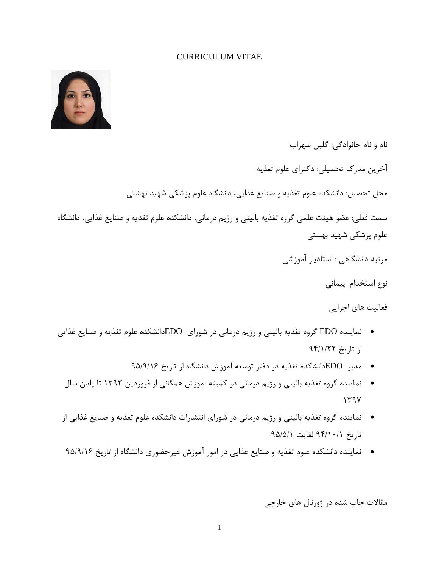#### CURRICULUM VITAE



نام و نام خانوادگي: گلبن سهراب آخرین مدرک تحصیلي: دکترای علوم تغذیه محل تحصیل: دانشکده علوم تغذیه و صنایع غذایي، دانشگاه علوم پزشکي شهید بهشتي سمت فعلي: عضو هیئت علمي گروه تغذیه بالیني و رژیم درماني، دانشکده علوم تغذیه و صنایع غذایي، دانشگاه علوم پزشکي شهید بهشتي مرتبه دانشگاهي : استادیار آموزشي نوع استخدام: پیماني

فعالیت های اجرایي

- نماینده EDO گروه تغذیه بالیني و رژیم درماني در شورای EDOدانشکده علوم تغذیه و صنایع غذایي از تاریخ 49/1/22
	- مدیر EDOدانشکده تغذیه در دفتر توسعه آموزش دانشگاه از تاریخ 49/4/11
	- نماینده گروه تغذیه بالیني و رژیم درماني در کمیته آموزش همگاني از فروردین 1141 تا پایان سال  $141$
- نماینده گروه تغذیه بالیني و رژیم درماني در شورای انتشارات دانشکده علوم تغذیه و صتایع غذایي از  $9\Delta/\Delta/1$  لغایت  $\Delta/\Delta$ ۹۴/۱۰/۱
- نماینده دانشکده علوم تغذیه و صتایع غذایي در امور آموزش غیرحضوری دانشگاه از تاریخ 49/4/11

مقاالت چاپ شده در ژورنال های خارجي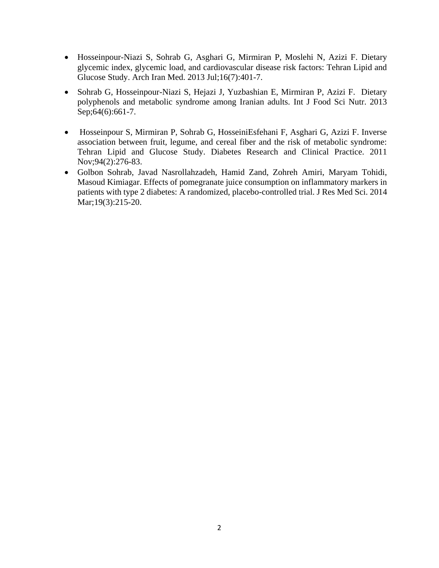- Hosseinpour-Niazi S, Sohrab G, Asghari G, Mirmiran P, Moslehi N, Azizi F. [Dietary](http://www.ncbi.nlm.nih.gov/pubmed/23808777)  [glycemic index, glycemic load, and cardiovascular disease risk factors: Tehran Lipid and](http://www.ncbi.nlm.nih.gov/pubmed/23808777)  [Glucose Study.](http://www.ncbi.nlm.nih.gov/pubmed/23808777) Arch Iran Med. 2013 Jul;16(7):401-7.
- Sohrab G, Hosseinpour-Niazi S, Hejazi J, Yuzbashian E, Mirmiran P, Azizi F. [Dietary](http://www.ncbi.nlm.nih.gov/pubmed/23607642)  [polyphenols and metabolic syndrome among Iranian adults.](http://www.ncbi.nlm.nih.gov/pubmed/23607642) Int J Food Sci Nutr. 2013 Sep;64(6):661-7.
- Hosseinpour S, Mirmiran P, Sohrab G, HosseiniEsfehani F, Asghari G, Azizi F. Inverse association between fruit, legume, and cereal fiber and the risk of metabolic syndrome: Tehran Lipid and Glucose Study. Diabetes Research and Clinical Practice. 2011 Nov;94(2):276-83.
- Golbon Sohrab, Javad Nasrollahzadeh, Hamid Zand, Zohreh Amiri, Maryam Tohidi, Masoud Kimiagar. Effects of pomegranate juice consumption on inflammatory markers in patients with type 2 diabetes: A randomized, placebo-controlled trial. J Res Med Sci. 2014 Mar;19(3):215-20.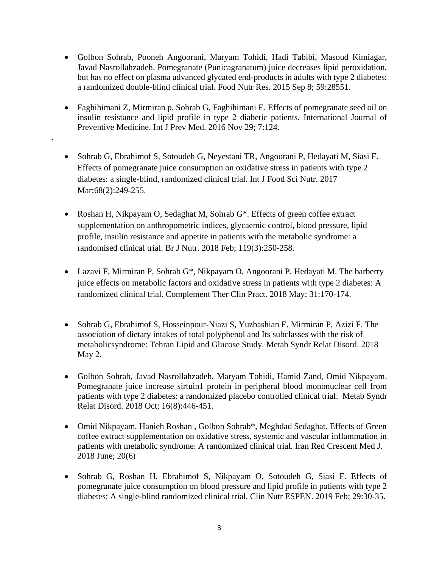- Golbon Sohrab, Pooneh Angoorani, Maryam Tohidi, Hadi Tabibi, Masoud Kimiagar, Javad Nasrollahzadeh. Pomegranate (Punicagranatum) juice decreases lipid peroxidation, but has no effect on plasma advanced glycated end-products in adults with type 2 diabetes: a randomized double-blind clinical trial. Food Nutr Res. 2015 Sep 8; 59:28551.
- Faghihimani Z, Mirmiran p, Sohrab G, Faghihimani E. Effects of pomegranate seed oil on insulin resistance and lipid profile in type 2 diabetic patients. International Journal of Preventive Medicine. [Int J Prev Med.](https://www.ncbi.nlm.nih.gov/pubmed/27994825) 2016 Nov 29; 7:124.
- Sohrab G, Ebrahimof S, Sotoudeh G, Neyestani TR, Angoorani P, Hedayati M, Siasi F. [Effects of pomegranate juice consumption on oxidative stress in patients with type 2](https://www.ncbi.nlm.nih.gov/pubmed/27633135)  [diabetes: a single-blind, randomized clinical trial.](https://www.ncbi.nlm.nih.gov/pubmed/27633135) Int J Food Sci Nutr. 2017 Mar; 68(2): 249-255.

.

- Roshan H, Nikpayam O, Sedaghat M, Sohrab G<sup>\*</sup>. Effects of green coffee extract [supplementation on anthropometric indices, glycaemic control, blood pressure, lipid](https://www.ncbi.nlm.nih.gov/pubmed/29307310)  [profile, insulin resistance and appetite in patients with the metabolic syndrome: a](https://www.ncbi.nlm.nih.gov/pubmed/29307310)  [randomised clinical trial.](https://www.ncbi.nlm.nih.gov/pubmed/29307310) Br J Nutr. 2018 Feb; 119(3):250-258.
- Lazavi F, Mirmiran P, Sohrab G\*, Nikpayam O, Angoorani P, Hedayati M. The barberry juice effects on metabolic factors and oxidative stress in patients with type 2 diabetes: A randomized clinical trial. Complement Ther Clin Pract. 2018 May; 31:170-174.
- Sohrab G, Ebrahimof S, Hosseinpour-Niazi S, Yuzbashian E, Mirmiran P, Azizi F. [The](https://www.ncbi.nlm.nih.gov/pubmed/29717926)  [association of dietary intakes of total polyphenol and Its subclasses with the risk of](https://www.ncbi.nlm.nih.gov/pubmed/29717926)  [metabolicsyndrome: Tehran Lipid and Glucose Study.](https://www.ncbi.nlm.nih.gov/pubmed/29717926) Metab Syndr Relat Disord. 2018 May 2.
- Golbon Sohrab, Javad Nasrollahzadeh, Maryam Tohidi, Hamid Zand, Omid Nikpayam. Pomegranate juice increase sirtuin1 protein in peripheral blood mononuclear cell from patients with type 2 diabetes: a randomized placebo controlled clinical trial. Metab Syndr Relat Disord. 2018 Oct; 16(8):446-451.
- Omid Nikpayam, Hanieh Roshan , Golbon Sohrab\*, Meghdad Sedaghat. Effects of Green coffee extract supplementation on oxidative stress, systemic and vascular inflammation in patients with metabolic syndrome: A randomized clinical trial. Iran Red Crescent Med J. 2018 June; 20(6)
- Sohrab G, Roshan H, Ebrahimof S, Nikpayam O, Sotoudeh G, Siasi F. [Effects of](https://www.ncbi.nlm.nih.gov/pubmed/30661697)  [pomegranate juice consumption on blood pressure and lipid profile in patients with type 2](https://www.ncbi.nlm.nih.gov/pubmed/30661697)  [diabetes: A single-blind randomized clinical](https://www.ncbi.nlm.nih.gov/pubmed/30661697) trial. Clin Nutr ESPEN. 2019 Feb; 29:30-35.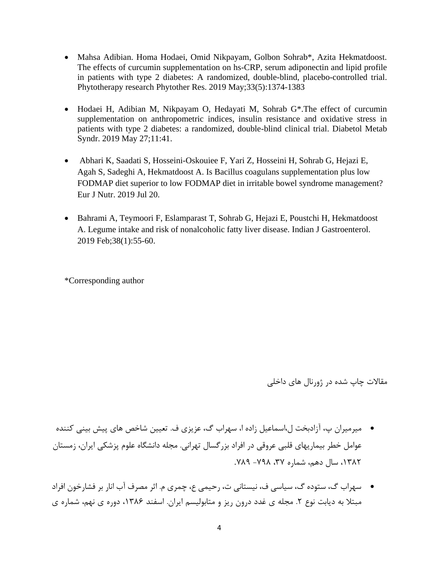- Mahsa Adibian. Homa Hodaei, Omid Nikpayam, Golbon Sohrab\*, Azita Hekmatdoost. The effects of curcumin supplementation on hs-CRP, serum adiponectin and lipid profile in patients with type 2 diabetes: A randomized, double-blind, placebo-controlled trial. Phytotherapy research [Phytother Res.](https://www.ncbi.nlm.nih.gov/pubmed/30864188) 2019 May;33(5):1374-1383
- Hodaei H, Adibian M, Nikpayam O, Hedayati M, Sohrab G\*.The effect of curcumin supplementation on anthropometric indices, insulin resistance and oxidative stress in patients with type 2 diabetes: a randomized, double-blind clinical trial. Diabetol Metab Syndr. 2019 May 27;11:41.
- [Abhari K, Saadati S, Hosseini-Oskouiee F, Yari Z, Hosseini H, Sohrab G, Hejazi E,](https://www.ncbi.nlm.nih.gov/pubmed/31327047)  [Agah S, Sadeghi A, Hekmatdoost A. Is Bacillus coagulans supplementation plus low](https://www.ncbi.nlm.nih.gov/pubmed/31327047)  [FODMAP diet superior to low FODMAP diet in irritable bowel syndrome management?](https://www.ncbi.nlm.nih.gov/pubmed/31327047) Eur J Nutr. 2019 Jul 20.
- Bahrami A, Teymoori F, Eslamparast T, Sohrab G, Hejazi E, Poustchi H, Hekmatdoost A. [Legume intake and risk of nonalcoholic fatty liver disease.](https://www.ncbi.nlm.nih.gov/pubmed/30796701) Indian J Gastroenterol. 2019 Feb;38(1):55-60.

\*Corresponding author

مقاالت چاپ شده در ژورنال های داخلي

- میرمیران پ، آزادبخت ل،اسماعیل زاده ا، سهراب گ، عزیزی ف. تعیین شاخص های پیش بیني کننده عوامل خطر بیماریهای قلبي عروقي در افراد بزرگسال تهراني. مجله دانشگاه علوم پزشکي ایران، زمستان ،1132 سال دهم، شماره ،11 -143 .134
- سهراب گ، ستوده گ، سیاسي ف، نیستاني ت، رحیمي ع، چمری م. اثر مصرف آب انار بر فشارخون افراد مبتلا به دیابت نوع ۲. مجله ی غدد درون ریز و متابولیسم ایران. اسفند ۱۳۸۶، دوره ی نهم، شماره ی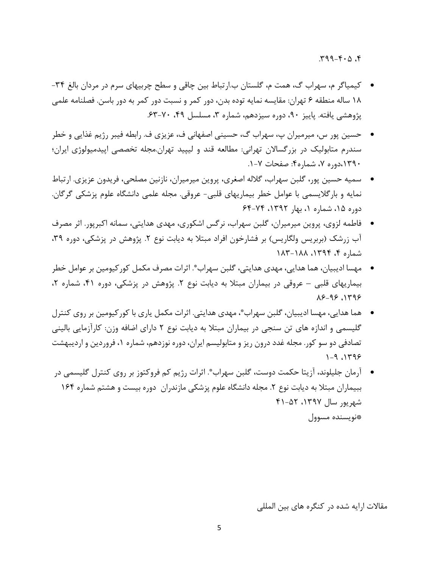$4.0.9 - P P$ 

- کیمیاگر م، سهراب گ، همت م، گلستان ب.ارتباط بین چاقي و سطح چربیهای سرم در مردان بالغ -19 13 ساله منطقه 1 تهران: مقایسه نمایه توده بدن، دور کمر و نسبت دور کمر به دور باسن. فصلنامه علمي پژوهشي یافته. پاییز ۹۰، دوره سیزدهم، شماره ۳، مسلسل ۴۹، ۷۰-۶۳.
- حسین پور س، میرمیران پ، سهراب گ، حسیني اصفهاني ف، عزیزی ف. رابطه فیبر رژیم غذایي و خطر سندرم متابولیک در بزرگساالن تهراني: مطالعه قند و لیپید تهران.مجله تخصصي اپیدمیولوژی ایران؛ ،1141دوره ،1 شماره:9 صفحات .1-1
- سمیه حسین پور، گلبن سهراب، گالله اصغری، پروین میرمیران، نازنین مصلحي، فریدون عزیزی. ارتباط نمایه و بارگالیسمي با عوامل خطر بیماریهای قلبي- عروقي. مجله علمي دانشگاه علوم پزشکي گرگان. دوره ۱۵، شماره ۱، بهار ۱۳۹۲، ۶۴-۶۴
- فاطمه لزوی، پروین میرمیران، گلبن سهراب، نرگس اشکوری، مهدی هدایتي، سمانه اکبرپور. اثر مصرف آب زرشک (بربریس ولگاریس) بر فشارخون افراد مبتلا به دیابت نوع ۲. پژوهش در پزشکی، دوره ۳۹، شماره ۴، ۱۳۹۴، ۱۸۸۸-۱۸۲
- مهسا ادیبیان، هما هدایي، مهدی هدایتي، گلبن سهراب \* . اثرات مصرف مکمل کورکیومین بر عوامل خطر بیماریهای قلبی - عروقی در بیماران مبتلا به دیابت نوع ٢. پژوهش در پزشکی، دوره ۴۱، شماره ٢،  $29-99$   $1799$
- هما هدایي، مهسا ادیبیان، گلبن سهراب \* ، مهدی هدایتي. اثرات مکمل یاری با کورکیومین بر روی کنترل گلیسمي و اندازه های تن سنجي در بیماران مبتال به دیابت نوع 2 دارای اضافه وزن: کارآزمایي بالیني تصادفي دو سو کور. مجله غدد درون ریز و متابولیسم ایران، دوره نوزدهم، شماره ،1 فروردین و اردیبهشت  $1 - 9$ ,  $1799$
- أرمان جليلوند، أزيتا حكمت دوست، گلبن سهراب ٌ. اثرات رژيم كم فروكتوز بر روى كنترل گليسمى در ببیماران مبتلا به دیابت نوع ۲. مجله دانشگاه علوم پزشکی مازندران دوره بیست و هشتم شماره ۱۶۴ شهریور سال ،1141 91-92 \*نویسنده مسوول

مقالات ارایه شده در کنگره های بین المللی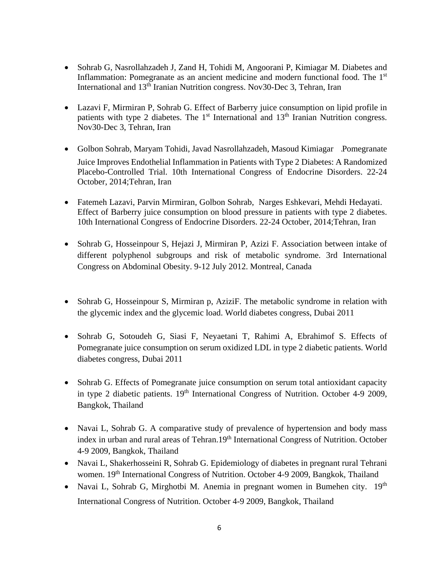- Sohrab G, Nasrollahzadeh J, Zand H, Tohidi M, Angoorani P, Kimiagar M. Diabetes and Inflammation: Pomegranate as an ancient medicine and modern functional food. The 1<sup>st</sup> International and 13th Iranian Nutrition congress. Nov30-Dec 3, Tehran, Iran
- Lazavi F, Mirmiran P, Sohrab G. Effect of Barberry juice consumption on lipid profile in patients with type 2 diabetes. The 1<sup>st</sup> International and 13<sup>th</sup> Iranian Nutrition congress. Nov30-Dec 3, Tehran, Iran
- Golbon Sohrab, Maryam Tohidi, Javad Nasrollahzadeh, Masoud Kimiagar .Pomegranate Juice Improves Endothelial Inflammation in Patients with Type 2 Diabetes: A Randomized Placebo-Controlled Trial. 10th International Congress of Endocrine Disorders. 22-24 October, 2014;Tehran, Iran
- Fatemeh Lazavi, Parvin Mirmiran, Golbon Sohrab, Narges Eshkevari, Mehdi Hedayati. Effect of Barberry juice consumption on blood pressure in patients with type 2 diabetes. 10th International Congress of Endocrine Disorders. 22-24 October, 2014;Tehran, Iran
- Sohrab G, Hosseinpour S, Hejazi J, Mirmiran P, Azizi F. Association between intake of different polyphenol subgroups and risk of metabolic syndrome. 3rd International Congress on Abdominal Obesity. 9-12 July 2012. Montreal, Canada
- Sohrab G, Hosseinpour S, Mirmiran p, AziziF. The metabolic syndrome in relation with the glycemic index and the glycemic load. World diabetes congress, Dubai 2011
- Sohrab G, Sotoudeh G, Siasi F, Neyaetani T, Rahimi A, Ebrahimof S. Effects of Pomegranate juice consumption on serum oxidized LDL in type 2 diabetic patients. World diabetes congress, Dubai 2011
- Sohrab G. Effects of Pomegranate juice consumption on serum total antioxidant capacity in type 2 diabetic patients. 19<sup>th</sup> International Congress of Nutrition. October 4-9 2009, Bangkok, Thailand
- Navai L, Sohrab G. A comparative study of prevalence of hypertension and body mass index in urban and rural areas of Tehran.19<sup>th</sup> International Congress of Nutrition. October 4-9 2009, Bangkok, Thailand
- Navai L, Shakerhosseini R, Sohrab G. Epidemiology of diabetes in pregnant rural Tehrani women. 19<sup>th</sup> International Congress of Nutrition. October 4-9 2009, Bangkok, Thailand
- Navai L, Sohrab G, Mirghotbi M. Anemia in pregnant women in Bumehen city.  $19<sup>th</sup>$ International Congress of Nutrition. October 4-9 2009, Bangkok, Thailand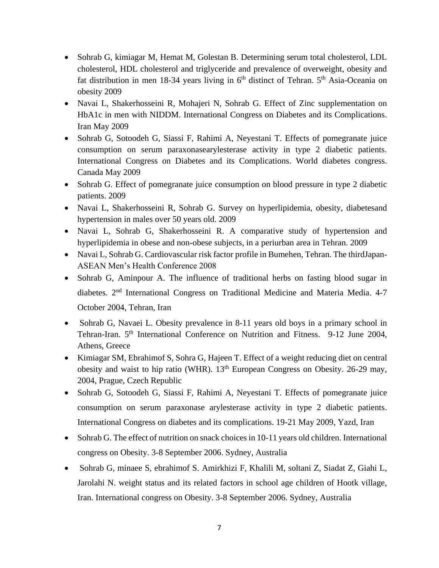- Sohrab G, kimiagar M, Hemat M, Golestan B. Determining serum total cholesterol, LDL cholesterol, HDL cholesterol and triglyceride and prevalence of overweight, obesity and fat distribution in men 18-34 years living in  $6<sup>th</sup>$  distinct of Tehran.  $5<sup>th</sup>$  Asia-Oceania on obesity 2009
- Navai L, Shakerhosseini R, Mohajeri N, Sohrab G. Effect of Zinc supplementation on HbA1c in men with NIDDM. International Congress on Diabetes and its Complications. Iran May 2009
- Sohrab G, Sotoodeh G, Siassi F, Rahimi A, Neyestani T. Effects of pomegranate juice consumption on serum paraxonasearylesterase activity in type 2 diabetic patients. International Congress on Diabetes and its Complications. World diabetes congress. Canada May 2009
- Sohrab G. Effect of pomegranate juice consumption on blood pressure in type 2 diabetic patients. 2009
- Navai L, Shakerhosseini R, Sohrab G. Survey on hyperlipidemia, obesity, diabetesand hypertension in males over 50 years old. 2009
- Navai L, Sohrab G, Shakerhosseini R. A comparative study of hypertension and hyperlipidemia in obese and non-obese subjects, in a periurban area in Tehran. 2009
- Navai L, Sohrab G. Cardiovascular risk factor profile in Bumehen, Tehran. The thirdJapan-ASEAN Men's Health Conference 2008
- Sohrab G, Aminpour A. The influence of traditional herbs on fasting blood sugar in diabetes. 2nd International Congress on Traditional Medicine and Materia Media. 4-7 October 2004, Tehran, Iran
- Sohrab G, Navaei L. Obesity prevalence in 8-11 years old boys in a primary school in Tehran-Iran. 5<sup>th</sup> International Conference on Nutrition and Fitness. 9-12 June 2004, Athens, Greece
- Kimiagar SM, Ebrahimof S, Sohra G, Hajeen T. Effect of a weight reducing diet on central obesity and waist to hip ratio (WHR). 13<sup>th</sup> European Congress on Obesity. 26-29 may, 2004, Prague, Czech Republic
- Sohrab G, Sotoodeh G, Siassi F, Rahimi A, Neyestani T. Effects of pomegranate juice consumption on serum paraxonase arylesterase activity in type 2 diabetic patients. International Congress on diabetes and its complications. 19-21 May 2009, Yazd, Iran
- Sohrab G. The effect of nutrition on snack choices in 10-11 years old children. International congress on Obesity. 3-8 September 2006. Sydney, Australia
- Sohrab G, minaee S, ebrahimof S. Amirkhizi F, Khalili M, soltani Z, Siadat Z, Giahi L, Jarolahi N. weight status and its related factors in school age children of Hootk village, Iran. International congress on Obesity. 3-8 September 2006. Sydney, Australia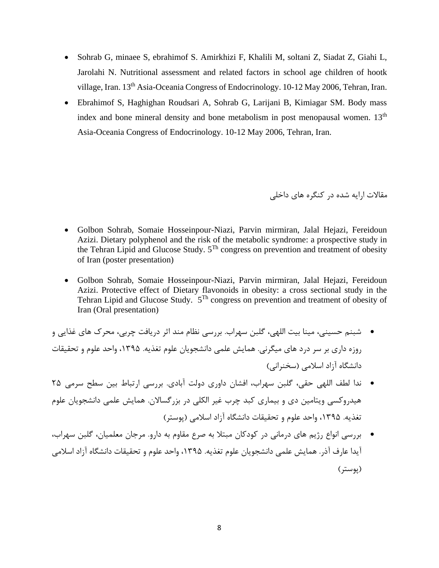- Sohrab G, minaee S, ebrahimof S. Amirkhizi F, Khalili M, soltani Z, Siadat Z, Giahi L, Jarolahi N. Nutritional assessment and related factors in school age children of hootk village, Iran. 13<sup>th</sup> Asia-Oceania Congress of Endocrinology. 10-12 May 2006, Tehran, Iran.
- Ebrahimof S, Haghighan Roudsari A, Sohrab G, Larijani B, Kimiagar SM. Body mass index and bone mineral density and bone metabolism in post menopausal women.  $13<sup>th</sup>$ Asia-Oceania Congress of Endocrinology. 10-12 May 2006, Tehran, Iran.

مقاالت ارایه شده در کنگره های داخلي

- Golbon Sohrab, Somaie Hosseinpour-Niazi, Parvin mirmiran, Jalal Hejazi, Fereidoun Azizi. Dietary polyphenol and the risk of the metabolic syndrome: a prospective study in the Tehran Lipid and Glucose Study. 5Th congress on prevention and treatment of obesity of Iran (poster presentation)
- Golbon Sohrab, Somaie Hosseinpour-Niazi, Parvin mirmiran, Jalal Hejazi, Fereidoun Azizi. Protective effect of Dietary flavonoids in obesity: a cross sectional study in the Tehran Lipid and Glucose Study.  $5^{Th}$  congress on prevention and treatment of obesity of Iran (Oral presentation)
- شبنم حسیني، مینا بیت اللهي، گلبن سهراب. بررسي نظام مند اثر دریافت چربي، محرک های غذایي و روزه داری بر سر درد های میگرني. همایش علمي دانشجویان علوم تغذیه. ،1149 واحد علوم و تحقیقات دانشگاه آزاد اسالمي )سخنراني(
- ندا لطف اللهي حقي، گلبن سهراب، افشان داوری دولت آبادی. بررسي ارتباط بین سطح سرمي 29 هیدروکسي ویتامین دی و بیماری کبد چرب غیر الکلي در بزرگساالن. همایش علمي دانشجویان علوم تغذیه. ،1149 واحد علوم و تحقیقات دانشگاه آزاد اسالمي )پوستر(
- بررسي انواع رژیم های درماني در کودکان مبتال به صرع مقاوم به دارو. مرجان معلمیان، گلبن سهراب، آیدا عارف آذر. همایش علمي دانشجویان علوم تغذیه. ،1149 واحد علوم و تحقیقات دانشگاه آزاد اسالمي )پوستر(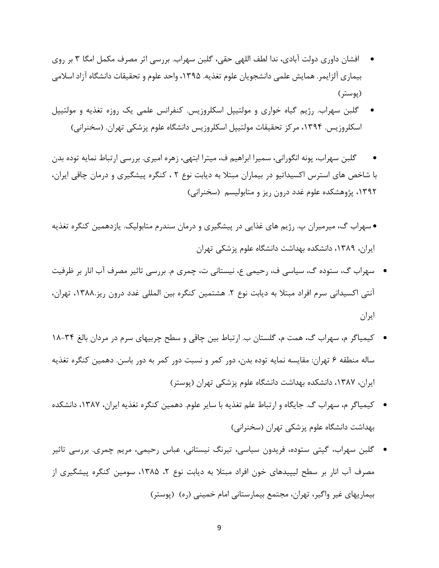- افشان داوری دولت آبادی، ندا لطف اللهي حقي، گلبن سهراب. بررسي اثر مصرف مکمل امگا 1 بر روی بیماری آلزایمر. همایش علمي دانشجویان علوم تغذیه. ،1149 واحد علوم و تحقیقات دانشگاه آزاد اسالمي )پوستر(
- گلبن سهراب. رژیم گیاه خواری و مولتیپل اسکلروزیس. کنفرانس علمي یک روزه تغذیه و مولتیپل اسکلروزیس. ۱۳۹۴، مرکز تحقیقات مولتیپل اسکلروزیس دانشگاه علوم پزشکی تهران. (سخنرانی)
- گلبن سهراب، پونه انگوراني، سمیرا ابراهیم ف، میترا ابتهي، زهره امیری. بررسي ارتباط نمایه توده بدن با شاخص های استرس اکسیداتیو در بیماران مبتال به دیابت نوع 2 ، کنگره پیشگیری و درمان چاقي ایران، ،1142 پژوهشکده علوم غدد درون ریز و متابولیسم )سخنراني(
- سهراب گ، میرمیران پ. رژیم های غذایي در پیشگیری و درمان سندرم متابولیک. یازدهمین کنگره تغذیه ایران، ،1134 دانشکده بهداشت دانشگاه علوم پزشکي تهران
- سهراب گ، ستوده گ، سیاسي ف، رحیمي ع، نیستاني ت، چمری م. بررسي تاثیر مصرف آب انار بر ظرفیت آنتي اکسیداني سرم افراد مبتلا به دیابت نوع ۲. هشتمین کنگره بین المللي غدد درون ریز.۱۳۸۸، تهران، ایران
- کیمیاگر م، سهراب گ، همت م، گلستان ب. ارتباط بین چاقي و سطح چربیهای سرم در مردان بالغ 13-19 ساله منطقه 1 تهران: مقایسه نمایه توده بدن، دور کمر و نسبت دور کمر به دور باسن. دهمین کنگره تغذیه ایران، ،1131 دانشکده بهداشت دانشگاه علوم پزشکي تهران )پوستر(
- کیمیاگر م، سهراب گ. جایگاه و ارتباط علم تغذیه با سایر علوم. دهمین کنگره تغذیه ایران، ،1131 دانشکده بهداشت دانشگاه علوم پزشکي تهران )سخنراني(
- گلبن سهراب، گیتي ستوده، فریدون سیاسي، تیرنگ نیستاني، عباس رحیمي، مریم چمری. بررسي تاثیر مصرف اب انار بر سطح لیپیدهای خون افراد مبتلا به دیابت نوع ۲، ۱۳۸۵، سومین کنگره پیشگیری از بیماریهای غیر واگیر، تهران، مجتمع بیمارستانی امام خمینی (ره) (پوستر)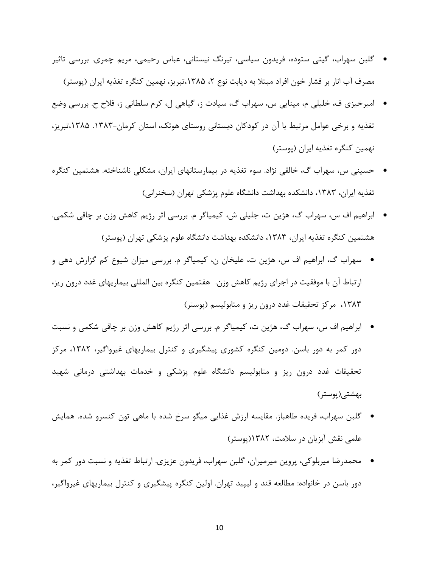- گلبن سهراب، گیتي ستوده، فریدون سیاسي، تیرنگ نیستاني، عباس رحیمي، مریم چمری. بررسي تاثیر مصرف اب انار بر فشار خون افراد مبتلا به دیابت نوع ۲، ۱۳۸۵،تبریز، نهمین کنگره تغذیه ایران (پوستر)
- امیرخیزی ف، خلیلي م، مینایي س، سهراب گ، سیادت ز، گیاهي ل، کرم سلطاني ز، فالح ح. بررسي وضع تغذیه و برخي عوامل مرتبط با آن در کودکان دبستاني روستای هوتک، استان کرمان.1131- ،1139تبریز، نهمین کنگره تغذیه ایران )پوستر(
- حسیني س، سهراب گ، خالقي نژاد. سوء تغذیه در بیمارستانهای ایران، مشکلي ناشناخته. هشتمین کنگره تغذیه ایران، ۱۳۸۳، دانشکده بهداشت دانشگاه علوم پزشکی تهران (سخنرانی)
- ابراهیم اف س، سهراب گ، هژین ت، جلیلي ش، کیمیاگر م. بررسي اثر رژیم کاهش وزن بر چاقي شکمي. هشتمین کنگره تغذیه ایران، ۱۳۸۳، دانشکده بهداشت دانشگاه علوم پزشکی تهران (پوستر)
- سهراب گ، ابراهیم اف س، هژین ت، علیخان ن، کیمیاگر م. بررسي میزان شیوع کم گزارش دهي و ارتباط آن با موفقیت در اجرای رژیم کاهش وزن. هفتمین کنگره بین المللي بیماریهای غدد درون ریز، ۱۳۸۳، مرکز تحقیقات غدد درون ریز و متابولیسم (پوستر)
- ابراهیم اف س، سهراب گ، هژین ت، کیمیاگر م. بررسي اثر رژیم کاهش وزن بر چاقي شکمي و نسبت دور کمر به دور باسن. دومین کنگره کشوری پیشگیری و کنترل بیماریهای غیرواگیر، ،1132 مرکز تحقیقات غدد درون ریز و متابولیسم دانشگاه علوم پزشکي و خدمات بهداشتي درماني شهید بهشتي)پوستر(
- گلبن سهراب، فریده طاهباز. مقایسه ارزش غذایي میگو سرخ شده با ماهي تون کنسرو شده. همایش علمي نقش آبزیان در سالمت، 1132)پوستر(
- محمدرضا میربلوکي، پروین میرمیران، گلبن سهراب، فریدون عزیزی. ارتباط تغذیه و نسبت دور کمر به دور باسن در خانواده: مطالعه قند و لیپید تهران. اولین کنگره پیشگیری و کنترل بیماریهای غیرواگیر،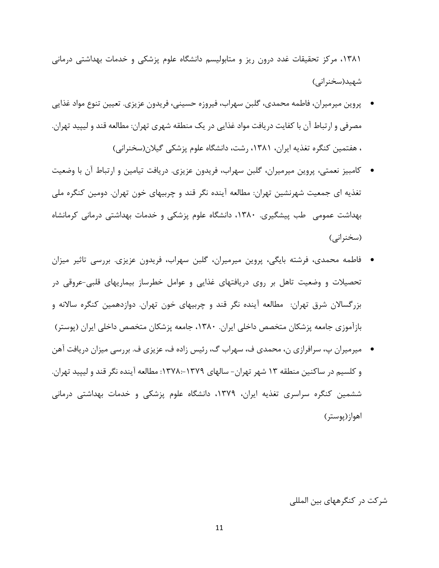،1131 مرکز تحقیقات غدد درون ریز و متابولیسم دانشگاه علوم پزشکي و خدمات بهداشتي درماني شهید(سخنرانی)

- پروین میرمیران، فاطمه محمدی، گلبن سهراب، فیروزه حسیني، فریدون عزیزی. تعیین تنوع مواد غذایي مصرفي و ارتباط آن با کفایت دریافت مواد غذایي در یک منطقه شهری تهران: مطالعه قند و لیپید تهران. ، هفتمین کنگره تغذیه ایران، ،1131 رشت، دانشگاه علوم پزشکي گیالن)سخنراني(
- کامبیز نعمتي، پروین میرمیران، گلبن سهراب، فریدون عزیزی. دریافت تیامین و ارتباط آن با وضعیت تغذیه ای جمعیت شهرنشین تهران: مطالعه آینده نگر قند و چربیهای خون تهران. دومین کنگره ملي بهداشت عمومي طب پیشگیری. ،1131 دانشگاه علوم پزشکي و خدمات بهداشتي درماني کرمانشاه (سخنراني)
- فاطمه محمدی، فرشته بایگي، پروین میرمیران، گلبن سهراب، فریدون عزیزی. بررسي تاثیر میزان تحصیالت و وضعیت تاهل بر روی دریافتهای غذایي و عوامل خطرساز بیماریهای قلبي-عروقي در بزرگساالن شرق تهران: مطالعه آینده نگر قند و چربیهای خون تهران. دوازدهمین کنگره ساالنه و بازآموزی جامعه پزشکان متخصص داخلي ایران. ،1131 جامعه پزشکان متخصص داخلي ایران )پوستر(
- میرمیران پ، سرافرازی ن، محمدی ف، سهراب گ، رئیس زاده ف، عزیزی ف. بررسي میزان دریافت آهن و کلسیم در ساکنین منطقه 11 شهر تهران- سالهای :1113:-1114 مطالعه آینده نگر قند و لیپید تهران. ششمین کنگره سراسری تغذیه ایران، ،1114 دانشگاه علوم پزشکي و خدمات بهداشتي درماني اهواز)پوستر(

شرکت در کنگرههای بین المللي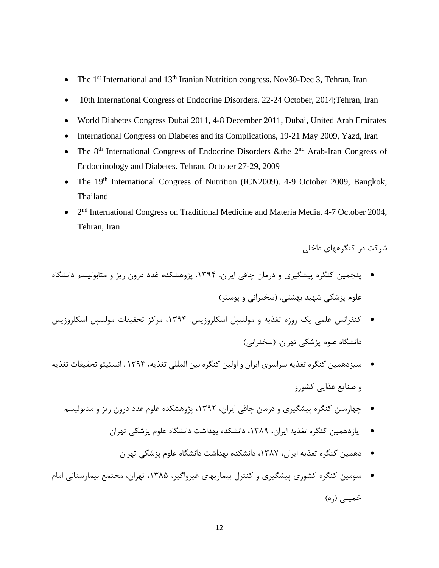- The 1<sup>st</sup> International and 13<sup>th</sup> Iranian Nutrition congress. Nov30-Dec 3, Tehran, Iran
- 10th International Congress of Endocrine Disorders. 22-24 October, 2014; Tehran, Iran
- World Diabetes Congress Dubai 2011, 4-8 December 2011, Dubai, United Arab Emirates
- International Congress on Diabetes and its Complications, 19-21 May 2009, Yazd, Iran
- The  $8<sup>th</sup>$  International Congress of Endocrine Disorders & the  $2<sup>nd</sup>$  Arab-Iran Congress of Endocrinology and Diabetes. Tehran, October 27-29, 2009
- The 19<sup>th</sup> International Congress of Nutrition (ICN2009). 4-9 October 2009, Bangkok, Thailand
- 2<sup>nd</sup> International Congress on Traditional Medicine and Materia Media. 4-7 October 2004, Tehran, Iran

شرکت در کنگرههای داخلي

- پنجمین کنگره پیشگیری و درمان چاقي ایران. .1149 پژوهشکده غدد درون ریز و متابولیسم دانشگاه علوم پزشکي شهید بهشتي. (سخنراني و پوستر)
- کنفرانس علمي یک روزه تغذیه و مولتیپل اسکلروزیس. ،1149 مرکز تحقیقات مولتیپل اسکلروزیس دانشگاه علوم پزشکي تهران. )سخنراني(
- سیزدهمین کنگره تغذیه سراسری ایران و اولین کنگره بین المللي تغذیه، 1141 . انستیتو تحقیقات تغذیه و صنایع غذایي کشورو
	- چهارمین کنگره پیشگیری و درمان چاقي ایران، ،1142 پژوهشکده علوم غدد درون ریز و متابولیسم
		- یازدهمین کنگره تغذیه ایران، ،1134 دانشکده بهداشت دانشگاه علوم پزشکي تهران
			- دهمین کنگره تغذیه ایران، ،1131 دانشکده بهداشت دانشگاه علوم پزشکي تهران
- سومین کنگره کشوری پیشگیری و کنترل بیماریهای غیرواگیر، ،1139 تهران، مجتمع بیمارستاني امام خمینی (۵<sub>۰</sub>)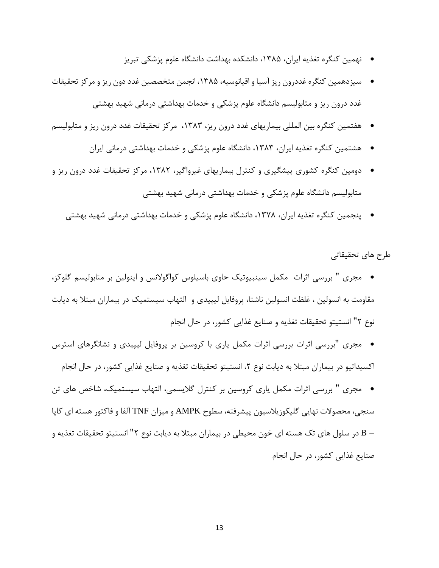- نهمین کنگره تغذیه ایران، ،1139 دانشکده بهداشت دانشگاه علوم پزشکي تبریز
- سیزدهمین کنگره غددرون ریز آسیا و اقیانوسیه، ،1139 انجمن متخصصین غدد دون ریز و مرکز تحقیقات غدد درون ریز و متابولیسم دانشگاه علوم پزشکي و خدمات بهداشتي درماني شهید بهشتي
- هفتمین کنگره بین المللي بیماریهای غدد درون ریز، ،1131 مرکز تحقیقات غدد درون ریز و متابولیسم
	- هشتمین کنگره تغذیه ایران، ،1131 دانشگاه علوم پزشکي و خدمات بهداشتي درماني ایران
- دومین کنگره کشوری پیشگیری و کنترل بیماریهای غیرواگیر، ،1132 مرکز تحقیقات غدد درون ریز و متابولیسم دانشگاه علوم پزشکي و خدمات بهداشتي درماني شهید بهشتي
	- پنجمین کنگره تغذیه ایران، ،1113 دانشگاه علوم پزشکي و خدمات بهداشتي درماني شهید بهشتي

طرح های تحقیقاتي

- مجری " بررسي اثرات مکمل سینبیوتیک حاوی باسیلوس کواگوالنس و اینولین بر متابولیسم گلوکز، مقاومت به انسولین ، غلظت انسولین ناشتا، پروفایل لیپیدی و التهاب سیستمیک در بیماران مبتال به دیابت نوع 2" انستیتو تحقیقات تغذیه و صنایع غذایي کشور، در حال انجام
- مجری "بررسي اثرات بررسي اثرات مکمل یاری با کروسین بر پروفایل لیپیدی و نشانگرهای استرس اکسیداتیو در بیماران مبتلا به دیابت نوع ۲، انستیتو تحقیقات تغذیه و صنایع غذایی کشور، در حال انجام
- مجری " بررسي اثرات مکمل یاری کروسین بر کنترل گالیسمي، التهاب سیستمیک، شاخص های تن سنجي، محصوالت نهایي گلیکوزیالسیون پیشرفته، سطوح AMPK و میزان TNF آلفا و فاکتور هسته ای کاپا – <sup>B</sup> در سلول های تک هسته ای خون محیطي در بیماران مبتال به دیابت نوع 2" انستیتو تحقیقات تغذیه و صنایع غذایي کشور، در حال انجام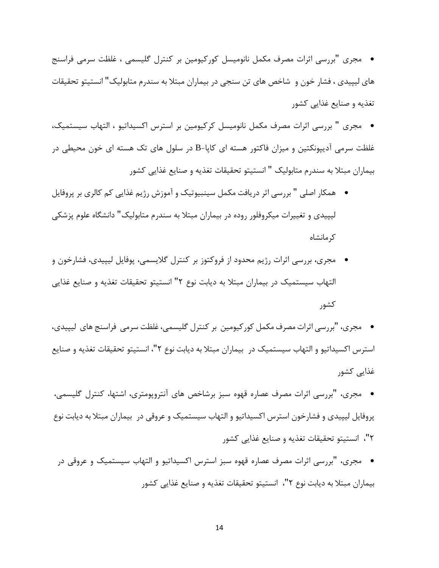- مجری "بررسي اثرات مصرف مکمل نانومیسل کورکیومین بر کنترل گلیسمي ، غلظت سرمي فراسنج های لیپیدی ، فشار خون و شاخص های تن سنجي در بیماران مبتال به سندرم متابولیک" انستیتو تحقیقات تغذیه و صنایع غذایي کشور
- مجری " بررسي اثرات مصرف مکمل نانومیسل کرکیومین بر استرس اکسیداتیو ، التهاب سیستمیک، غلظت سرمي آدیپونکتین و میزان فاکتور هسته ای کاپا-B در سلول های تک هسته ای خون محیطي در بیماران مبتال به سندرم متابولیک " انستیتو تحقیقات تغذیه و صنایع غذایي کشور
- همکار اصلي " بررسي اثر دریافت مکمل سینبیوتیک و آموزش رژیم غذایي کم کالری بر پروفایل لیپیدی و تغییرات میکروفلور روده در بیماران مبتال به سندرم متابولیک" دانشگاه علوم پزشکي کرمانشاه
- مجری، بررسي اثرات رژیم محدود از فروکتوز بر کنترل گالیسمي، پوفایل لیپیدی، فشارخون و التهاب سیستمیک در بیماران مبتال به دیابت نوع 2" انستیتو تحقیقات تغذیه و صنایع غذایي کشور

 مجری، "بررسي اثرات مصرف مکمل کورکیومین بر کنترل گلیسمي،غلظت سرمي فراسنج های لیپیدی، استرس اکسیداتیو و التهاب سیستمیک در بیماران مبتال به دیابت نوع 2"، انستیتو تحقیقات تغذیه و صنایع غذایي کشور

- مجری، "بررسي اثرات مصرف عصاره قهوه سبز برشاخص های آنتروپومتری، اشتها، کنترل گلیسمي، پروفایل لیپیدی و فشارخون استرس اکسیداتیو و التهاب سیستمیک و عروقي در بیماران مبتال به دیابت نوع 2"، انستیتو تحقیقات تغذیه و صنایع غذایي کشور
- مجری، "بررسي اثرات مصرف عصاره قهوه سبز استرس اکسیداتیو و التهاب سیستمیک و عروقي در بیماران مبتال به دیابت نوع 2"، انستیتو تحقیقات تغذیه و صنایع غذایي کشور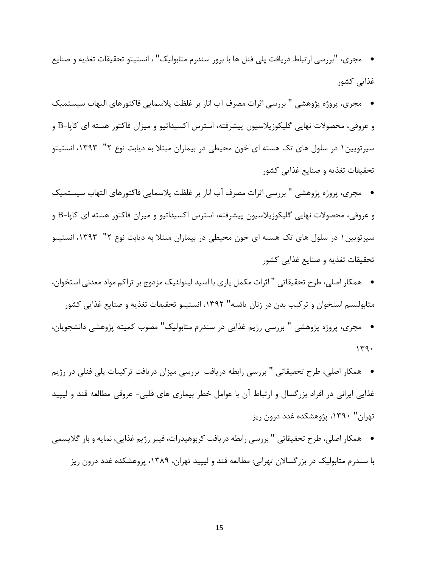- مجری، "بررسي ارتباط دریافت پلي فنل ها با بروز سندرم متابولیک" ، انستیتو تحقیقات تغذیه و صنایع غذایي کشور
- مجری، پروژه پژوهشي " بررسي اثرات مصرف آب انار بر غلظت پالسمایي فاکتورهای التهاب سیستمیک و عروقي، محصوالت نهایي گلیکوزیالسیون پیشرفته، استرس اکسیداتیو و میزان فاکتور هسته ای کاپا-B و سیرتویین1 در سلول های تک هسته ای خون محیطي در بیماران مبتال به دیابت نوع 2" ،1141 انستیتو تحقیقات تغذیه و صنایع غذایي کشور
- مجری، پروژه پژوهشي " بررسي اثرات مصرف آب انار بر غلظت پالسمایي فاکتورهای التهاب سیستمیک و عروقي، محصوالت نهایي گلیکوزیالسیون پیشرفته، استرس اکسیداتیو و میزان فاکتور هسته ای کاپا-B و سیرتویین1 در سلول های تک هسته ای خون محیطي در بیماران مبتال به دیابت نوع 2" ،1141 انستیتو تحقیقات تغذیه و صنایع غذایي کشور
- همکار اصلي، طرح تحقیقاتي " اثرات مکمل یاری با اسید لینولئیک مزدوج بر تراکم مواد معدني استخوان، متابولیسم استخوان و ترکیب بدن در زنان یائسه" ،1142 انستیتو تحقیقات تغذیه و صنایع غذایي کشور
- مجری، پروژه پژوهشي " بررسي رژیم غذایي در سندرم متابولیک" مصوب کمیته پژوهشي دانشجویان،  $149.$
- همکار اصلي، طرح تحقیقاتي " بررسي رابطه دریافت بررسي میزان دریافت ترکیبات پلي فنلي در رژیم غذایي ایراني در افراد بزرگسال و ارتباط آن با عوامل خطر بیماری های قلبي- عروقي مطالعه قند و لیپید تهران" ،1141 پژوهشکده غدد درون ریز
- همکار اصلي، طرح تحقیقاتي " بررسي رابطه دریافت کربوهیدرات، فیبر رژیم غذایي، نمایه و بار گالیسمي با سندرم متابولیک در بزرگساالن تهراني: مطالعه قند و لیپید تهران، ،1134 پژوهشکده غدد درون ریز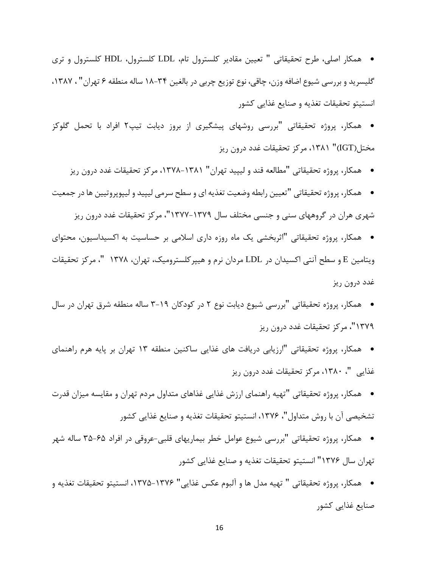همکار اصلي، طرح تحقیقاتي " تعیین مقادیر کلسترول تام، LDL کلسترول، HDL کلسترول و تری گلیسرید و بررسي شیوع اضافه وزن، چاقي، نوع توزیع چربي در بالغین 13-19 ساله منطقه 1 تهران" ، ،1131 انستیتو تحقیقات تغذیه و صنایع غذایي کشور

- همکار، پروژه تحقیقاتي "بررسي روشهای پیشگیری از بروز دیابت تیپ2 افراد با تحمل گلوکز مختل)IGT ")،1131 مرکز تحقیقات غدد درون ریز
	- همکار، پروژه تحقیقاتي "مطالعه قند و لیپید تهران" ،1113-1131 مرکز تحقیقات غدد درون ریز
- همکار، پروژه تحقیقاتي "تعیین رابطه وضعیت تغذیه ای و سطح سرمي لیپید و لیپوپروتیین ها در جمعیت شهری هران در گروههای سني و جنسي مختلف سال 1111-1114"، مرکز تحقیقات غدد درون ریز
- همکار، پروژه تحقیقاتي "اثربخشي یک ماه روزه داری اسالمي بر حساسیت به اکسیداسیون، محتوای ویتامین <sup>E</sup> و سطح آنتي اکسیدان در LDL مردان نرم و هیپرکلسترومیک، تهران، 1113 "، مرکز تحقیقات غدد درون ریز
- همکار، پروژه تحقیقاتي "بررسي شیوع دیابت نوع 2 در کودکان 1-14 ساله منطقه شرق تهران در سال 1114"، مرکز تحقیقات غدد درون ریز
- همکار، پروژه تحقیقاتي "ارزیابي دریافت های غذایي ساکنین منطقه 11 تهران بر پایه هرم راهنمای غذایي "، ،1131 مرکز تحقیقات غدد درون ریز
- همکار، پروژه تحقیقاتي "تهیه راهنمای ارزش غذایي غذاهای متداول مردم تهران و مقایسه میزان قدرت تشخیصي آن با روش متداول"، ،1111 انستیتو تحقیقات تغذیه و صنایع غذایي کشور
- همکار، پروژه تحقیقاتي "بررسي شیوع عوامل خطر بیماریهای قلبي-عروقي در افراد 19-19 ساله شهر تهران سال 1111" انستیتو تحقیقات تغذیه و صنایع غذایي کشور
- همکار، پروژه تحقیقاتي " تهیه مدل ها و آلبوم عکس غذایي" ،1119-1111 انستیتو تحقیقات تغذیه و صنایع غذایي کشور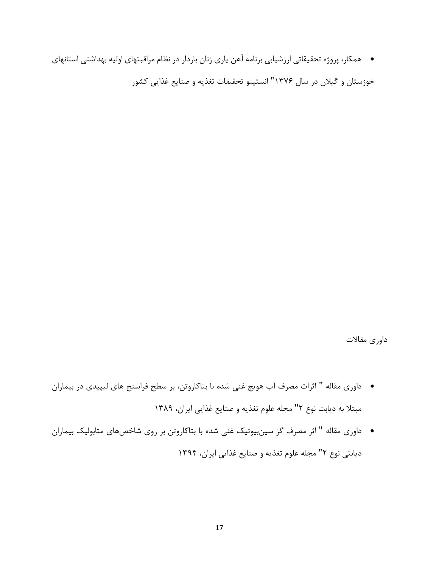همکار، پروژه تحقیقاتي ارزشیابي برنامه آهن یاری زنان باردار در نظام مراقبتهای اولیه بهداشتي استانهای

خوزستان و گیالن در سال 1111" انستیتو تحقیقات تغذیه و صنایع غذایي کشور

داوری مقاالت

- داوری مقاله " اثرات مصرف آب هویج غني شده با بتاکاروتن، بر سطح فراسنج های لیپیدی در بیماران مبتال به دیابت نوع 2" مجله علوم تغذیه و صنایع غذایي ایران، 1134
- داوری مقاله " اثر مصرف گز سینبیوتیک غني شده با بتاکاروتن بر روی شاخصهای متابولیک بیماران دیابتي نوع 2" مجله علوم تغذیه و صنایع غذایي ایران، 1149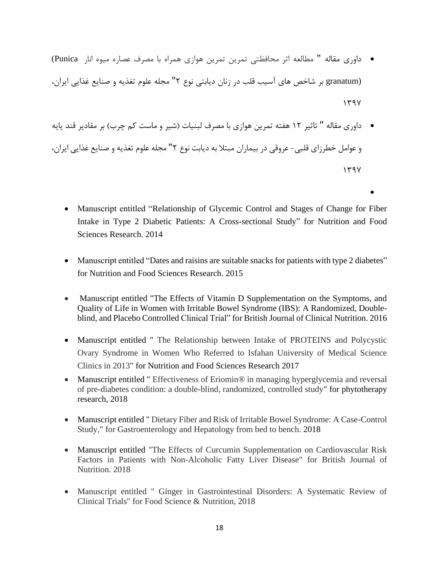- داوری مقاله " مطالعه اثر محافظتي تمرین تمرین هوازی همراه با مصرف عصاره میوه انار Punica( (granatum بر شاخص های آسیب قلب در زنان دیابتي نوع 2" مجله علوم تغذیه و صنایع غذایي ایران،  $1441$
- داوری مقاله " تاثیر 12 هفته تمرین هوازی با مصرف لبنیات )شیر و ماست کم چرب( بر مقادیر قند پایه و عوامل خطرزای قلبي- عروقي در بیماران مبتال به دیابت نوع 2" مجله علوم تغذیه و صنایع غذایي ایران،  $141$ 
	- Manuscript entitled "Relationship of Glycemic Control and Stages of Change for Fiber Intake in Type 2 Diabetic Patients: A Cross-sectional Study" for Nutrition and Food Sciences Research. 2014

 $\bullet$ 

- Manuscript entitled "Dates and raisins are suitable snacks for patients with type 2 diabetes" for Nutrition and Food Sciences Research. 2015
- Manuscript entitled "The Effects of Vitamin D Supplementation on the Symptoms, and Quality of Life in Women with Irritable Bowel Syndrome (IBS): A Randomized, Doubleblind, and Placebo Controlled Clinical Trial" for British Journal of Clinical Nutrition. 2016
- Manuscript entitled " The Relationship between Intake of PROTEINS and Polycystic Ovary Syndrome in Women Who Referred to Isfahan University of Medical Science Clinics in 2013" for Nutrition and Food Sciences Research 2017
- Manuscript entitled " Effectiveness of Eriomin® in managing hyperglycemia and reversal of pre-diabetes condition: a double-blind, randomized, controlled study" for phytotherapy research, 2018
- Manuscript entitled " Dietary Fiber and Risk of Irritable Bowel Syndrome: A Case-Control Study," for Gastroenterology and Hepatology from bed to bench. 2018
- Manuscript entitled "The Effects of Curcumin Supplementation on Cardiovascular Risk Factors in Patients with Non-Alcoholic Fatty Liver Disease" for British Journal of Nutrition. 2018
- Manuscript entitled " Ginger in Gastrointestinal Disorders: A Systematic Review of Clinical Trials" for Food Science & Nutrition, 2018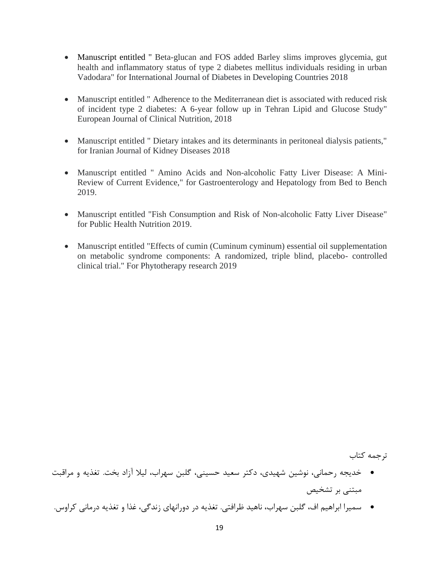- Manuscript entitled " Beta-glucan and FOS added Barley slims improves glycemia, gut health and inflammatory status of type 2 diabetes mellitus individuals residing in urban Vadodara" for International Journal of Diabetes in Developing Countries 2018
- Manuscript entitled " Adherence to the Mediterranean diet is associated with reduced risk of incident type 2 diabetes: A 6-year follow up in Tehran Lipid and Glucose Study" European Journal of Clinical Nutrition, 2018
- Manuscript entitled " Dietary intakes and its determinants in peritoneal dialysis patients," for Iranian Journal of Kidney Diseases 2018
- Manuscript entitled " Amino Acids and Non-alcoholic Fatty Liver Disease: A Mini-Review of Current Evidence," for Gastroenterology and Hepatology from Bed to Bench 2019.
- Manuscript entitled "Fish Consumption and Risk of Non-alcoholic Fatty Liver Disease" for Public Health Nutrition 2019.
- Manuscript entitled "Effects of cumin (Cuminum cyminum) essential oil supplementation on metabolic syndrome components: A randomized, triple blind, placebo- controlled clinical trial." For Phytotherapy research 2019

ترجمه کتاب

- خدیجه رحماني، نوشین شهیدی، دکتر سعید حسیني، گلبن سهراب، لیال آزاد بخت. تغذیه و مراقبت مبتني بر تشخیص
- سمیرا ابراهیم اف، گلبن سهراب، ناهید ظرافتي. تغذیه در دورانهای زندگي، غذا و تغذیه درماني کراوس.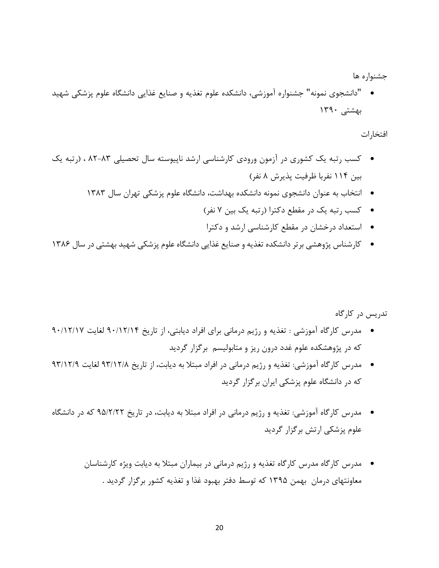جشنواره ها

" دانشجوی نمونه" جشنواره آموزشي، دانشکده علوم تغذیه و صنایع غذایي دانشگاه علوم پزشکي شهید بهشتي 1141

افتخارات

- کسب رتبه یک کشوری در آزمون ورودی کارشناسي ارشد ناپیوسته سال تحصیلي 32-31 ، )رتبه یک بین 119 نفربا ظرفیت پذیرش 3 نفر(
	- انتخاب به عنوان دانشجوی نمونه دانشکده بهداشت، دانشگاه علوم پزشکي تهران سال 1131
		- کسب رتبه یک در مقطع دکترا )رتبه یک بین 1 نفر(
		- استعداد درخشان در مقطع کارشناسي ارشد و دکترا
- کارشناس پژوهشي برتر دانشکده تغذیه و صنایع غذایي دانشگاه علوم پزشکي شهید بهشتي در سال 1131

تدریس در کارگاه

- مدرس کارگاه آموزشي : تغذیه و رژیم درماني برای افراد دیابتي، از تاریخ 41/12/19 لغایت 41/12/11 که در پژوهشکده علوم غدد درون ریز و متابولیسم برگزار گردید
- مدرس کارگاه آموزشي: تغذیه و رژیم درماني در افراد مبتال به دیابت، از تاریخ 41/12/3 لغایت 41/12/4 که در دانشگاه علوم پزشکي ایران برگزار گردید
- مدرس کارگاه آموزشي: تغذیه و رژیم درماني در افراد مبتال به دیابت، در تاریخ 49/2/22 که در دانشگاه علوم پزشکي ارتش برگزار گردید
	- مدرس کارگاه مدرس کارگاه تغذیه و رژیم درماني در بیماران مبتال به دیابت ویژه کارشناسان معاونتهای درمان بهمن 1149 که توسط دفتر بهبود غذا و تغذیه کشور برگزار گردید .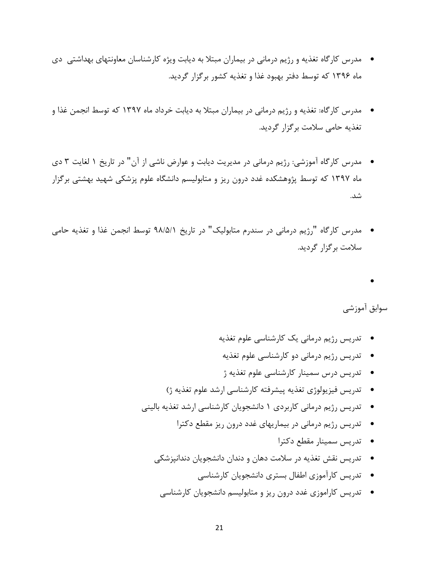- مدرس کارگاه تغذیه و رژیم درماني در بیماران مبتال به دیابت ویژه کارشناسان معاونتهای بهداشتي دی ماه 1141 که توسط دفتر بهبود غذا و تغذیه کشور برگزار گردید.
- مدرس کارگاه: تغذیه و رژیم درماني در بیماران مبتال به دیابت خرداد ماه 1141 که توسط انجمن غذا و تغذیه حامي سالمت برگزار گردید.
- مدرس کارگاه آموزشي: رژیم درماني در مدیریت دیابت و عوارض ناشي از آن" در تاریخ 1 لغایت 1 دی ماه 1141 که توسط پژوهشکده غدد درون ریز و متابولیسم دانشگاه علوم پزشکي شهید بهشتي برگزار شد.
- مدرس کارگاه "رژیم درماني در سندرم متابولیک" در تاریخ 43/9/1 توسط انجمن غذا و تغذیه حامي سالمت برگزار گردید.

 $\bullet$ 

سوابق آموزشي

- تدریس رژیم درماني یک کارشناسي علوم تغذیه
	- تدریس رژیم درماني دو کارشناسي علوم تغذیه
	- تدریس درس سمینار کارشناسي علوم تغذیه ژ
- تدریس فیزیولوژی تغذیه پیشرفته کارشناسي ارشد علوم تغذیه ژ(
- تدریس رژیم درماني کاربردی 1 دانشجویان کارشناسي ارشد تغذیه بالیني
	- تدریس رژیم درماني در بیماریهای غدد درون ریز مقطع دکترا
		- تدریس سمینار مقطع دکترا
	- تدریس نقش تغذیه در سالمت دهان و دندان دانشجویان دندانپزشکي
		- تدریس کارآموزی اطفال بستری دانشجویان کارشناسي
		- تدریس کاراموزی غدد درون ریز و متابولیسم دانشجویان کارشناسي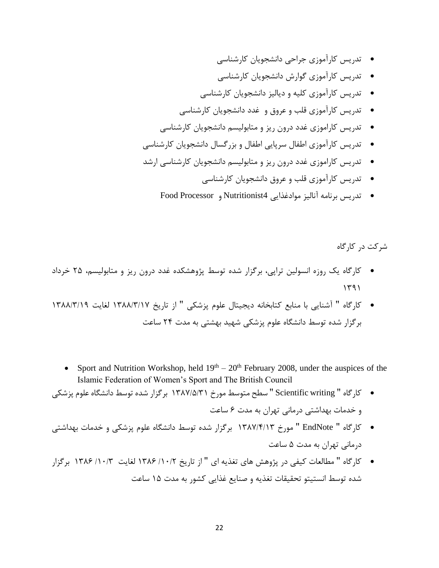- تدریس کارآموزی جراحي دانشجویان کارشناسي
- تدریس کارآموزی گوارش دانشجویان کارشناسي
- تدریس کارآموزی کلیه و دیالیز دانشجویان کارشناسي
- تدریس کارآموزی قلب و عروق و غدد دانشجویان کارشناسي
- تدریس کاراموزی غدد درون ریز و متابولیسم دانشجویان کارشناسي
- تدریس کارآموزی اطفال سرپایي اطفال و بزرگسال دانشجویان کارشناسي
- تدریس کاراموزی غدد درون ریز و متابولیسم دانشجویان کارشناسي ارشد
	- تدریس کارآموزی قلب و عروق دانشجویان کارشناسي
	- تدریس برنامه آنالیز موادغذایي 4Nutritionist و Processor Food

شرکت در کارگاه

- کارگاه یک روزه انسولین تراپي، برگزار شده توسط پژوهشکده غدد درون ریز و متابولیسم، 29 خرداد  $141$
- کارگاه " آشنایي با منابع کتابخانه دیجیتال علوم پزشکي " از تاریخ 1133/1/11 لغایت 1133/1/14 برگزار شده توسط دانشگاه علوم پزشکي شهید بهشتي به مدت 29 ساعت
	- Sport and Nutrition Workshop, held  $19<sup>th</sup> 20<sup>th</sup>$  February 2008, under the auspices of the Islamic Federation of Women's Sport and The British Council
- کارگاه " writing Scientific " سطح متوسط مورخ 1131/9/11 برگزار شده توسط دانشگاه علوم پزشکي و خدمات بهداشتي درماني تهران به مدت 1 ساعت
- کارگاه " EndNote " مورخ 1131/9/11 برگزار شده توسط دانشگاه علوم پزشکي و خدمات بهداشتي درماني تهران به مدت 9 ساعت
- کارگاه " مطالعات کیفي در پژوهش های تغذیه ای " از تاریخ /11/2 1131 لغایت /11/1 1131 برگزار شده توسط انستیتو تحقیقات تغذیه و صنایع غذایي کشور به مدت 19 ساعت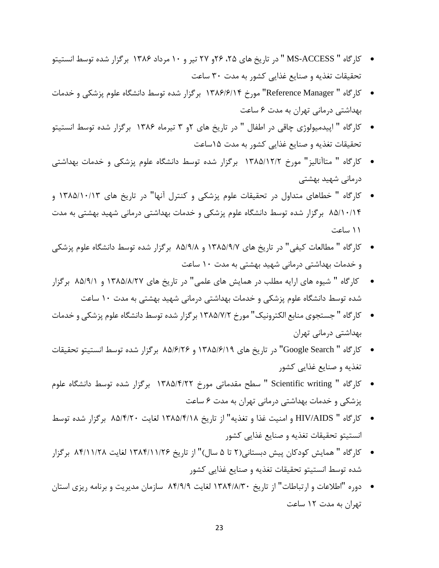- کارگاه " ACCESS-MS " در تاریخ های ،29 21و 21 تیر و 11 مرداد 1131 برگزار شده توسط انستیتو تحقیقات تغذیه و صنایع غذایي کشور به مدت 11 ساعت
- کارگاه " Manager Reference "مورخ 1131/1/19 برگزار شده توسط دانشگاه علوم پزشکي و خدمات بهداشتي درماني تهران به مدت 1 ساعت
- کارگاه " اپیدمیولوژی چاقي در اطفال " در تاریخ های 2و 1 تیرماه 1131 برگزار شده توسط انستیتو تحقیقات تغذیه و صنایع غذایي کشور به مدت 19ساعت
- کارگاه " متاآنالیز" مورخ 1139/12/2 برگزار شده توسط دانشگاه علوم پزشکي و خدمات بهداشتي درماني شهید بهشتي
- کارگاه " خطاهای متداول در تحقیقات علوم پزشکي و کنترل آنها" در تاریخ های 1139/11/11 و 39/11/19 برگزار شده توسط دانشگاه علوم پزشکي و خدمات بهداشتي درماني شهید بهشتي به مدت 11 ساعت
- کارگاه " مطالعات کیفي" در تاریخ های 1139/4/1 و 39/4/3 برگزار شده توسط دانشگاه علوم پزشکي و خدمات بهداشتي درماني شهید بهشتي به مدت 11 ساعت
- کارگاه " شیوه های ارایه مطلب در همایش های علمي" در تاریخ های 1139/3/21 و 39/4/1 برگزار شده توسط دانشگاه علوم پزشکي و خدمات بهداشتي درماني شهید بهشتي به مدت 11 ساعت
- کارگاه " جستجوی منابع الکترونیک" مورخ 1139/1/2 برگزار شده توسط دانشگاه علوم پزشکي و خدمات بهداشتي درماني تهران
- کارگاه " Search Google "در تاریخ های 1139/1/14 و 39/1/21 برگزار شده توسط انستیتو تحقیقات تغذیه و صنایع غذایي کشور
- کارگاه " writing Scientific " سطح مقدماتي مورخ 1139/9/22 برگزار شده توسط دانشگاه علوم پزشکي و خدمات بهداشتي درماني تهران به مدت 1 ساعت
- کارگاه " AIDS/HIV و امنیت غذا و تغذیه" از تاریخ 1139/9/13 لغایت 39/9/21 برگزار شده توسط انستیتو تحقیقات تغذیه و صنایع غذایي کشور
- کارگاه " همایش کودکان پیش دبستاني)2 تا 9 سال(" از تاریخ 1139/11/21 لغایت 39/11/23 برگزار شده توسط انستیتو تحقیقات تغذیه و صنایع غذایي کشور
- دوره "اطالعات و ارتباطات" از تاریخ 1139/3/11 لغایت 39/4/4 سازمان مدیریت و برنامه ریزی استان تهران به مدت 12 ساعت